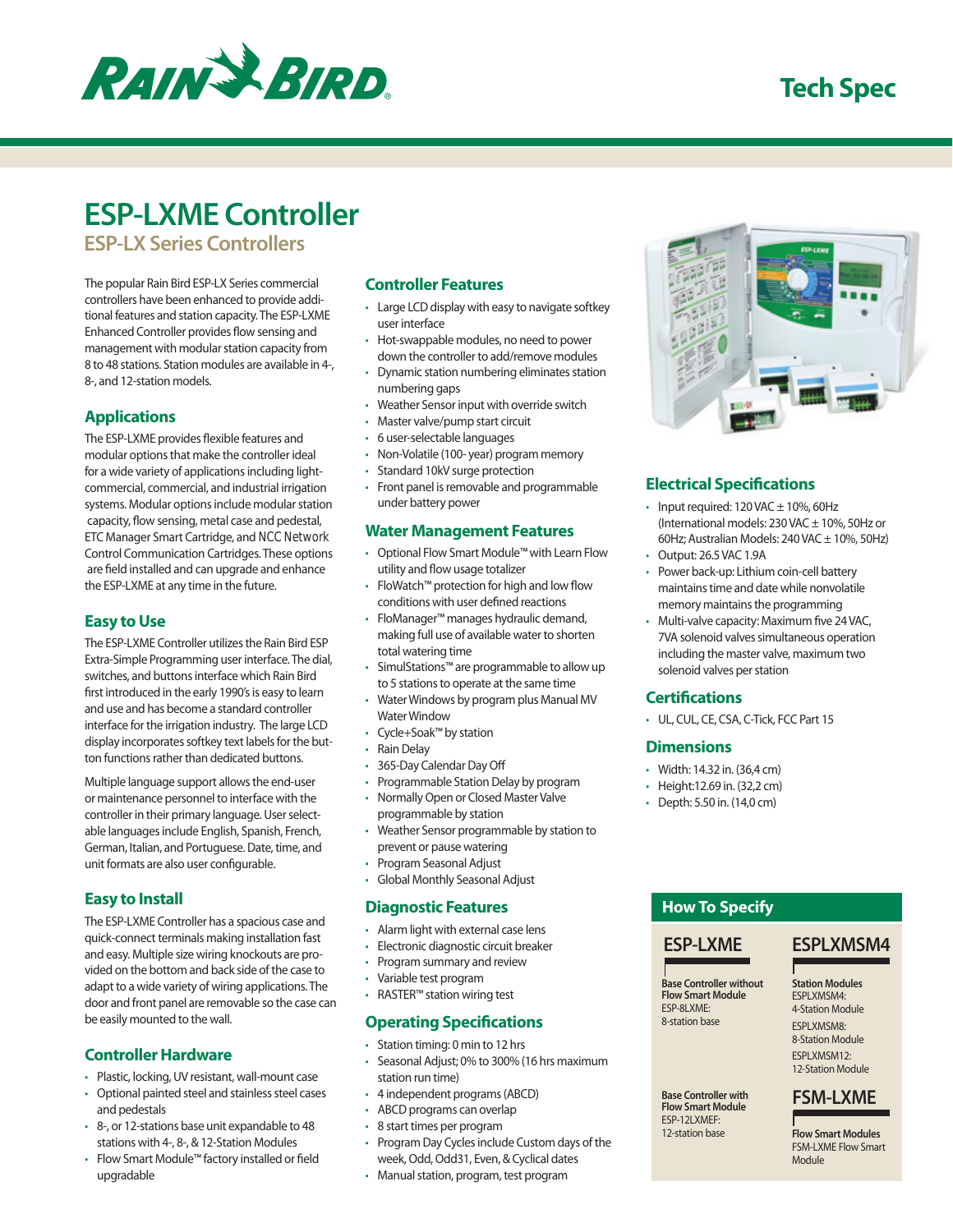

# **Tech Spec**

# **ESP-LXME Controller**

**ESP-LX Series Controllers**

The popular Rain Bird ESP-LX Series commercial controllers have been enhanced to provide additional features and station capacity. The ESP-LXME Enhanced Controller provides flow sensing and management with modular station capacity from 8 to 48 stations. Station modules are available in 4-, 8-, and 12-station models.

# **Applications**

The ESP-LXME provides flexible features and modular options that make the controller ideal for a wide variety of applications including lightcommercial, commercial, and industrial irrigation systems. Modular options include modular station capacity, flow sensing, metal case and pedestal, ETC Manager Smart Cartridge, and NCC Network Control Communication Cartridges. These options are field installed and can upgrade and enhance the ESP-LXME at any time in the future.

## **Easy to Use**

The ESP-LXME Controller utilizes the Rain Bird ESP Extra-Simple Programming user interface. The dial, switches, and buttons interface which Rain Bird first introduced in the early 1990's is easy to learn and use and has become a standard controller interface for the irrigation industry. The large LCD display incorporates softkey text labels for the button functions rather than dedicated buttons.

Multiple language support allows the end-user or maintenance personnel to interface with the controller in their primary language. User selectable languages include English, Spanish, French, German, Italian, and Portuguese. Date, time, and unit formats are also user configurable.

# **Easy to Install**

The ESP-LXME Controller has a spacious case and quick-connect terminals making installation fast and easy. Multiple size wiring knockouts are provided on the bottom and back side of the case to adapt to a wide variety of wiring applications. The door and front panel are removable so the case can be easily mounted to the wall.

### **Controller Hardware**

- • Plastic, locking, UV resistant, wall-mount case
- • Optional painted steel and stainless steel cases and pedestals
- 8-, or 12-stations base unit expandable to 48 stations with 4-, 8-, & 12-Station Modules
- Flow Smart Module™ factory installed or field upgradable

#### **Controller Features**

- Large LCD display with easy to navigate softkey user interface
- Hot-swappable modules, no need to power down the controller to add/remove modules
- Dynamic station numbering eliminates station numbering gaps
- • Weather Sensor input with override switch
- Master valve/pump start circuit
- • 6 user-selectable languages
- • Non-Volatile (100- year) program memory
- • Standard 10kV surge protection
- • Front panel is removable and programmable under battery power

### **Water Management Features**

- • Optional Flow Smart Module™ with Learn Flow utility and flow usage totalizer
- FloWatch™ protection for high and low flow conditions with user defined reactions
- FloManager™ manages hydraulic demand, making full use of available water to shorten total watering time
- SimulStations™ are programmable to allow up to 5 stations to operate at the same time
- • Water Windows by program plus Manual MV Water Window
- • Cycle+Soak™ by station
- Rain Delav
- • 365-Day Calendar Day Off
- • Programmable Station Delay by program
- • Normally Open or Closed Master Valve
- programmable by station • Weather Sensor programmable by station to
- prevent or pause watering
- • Program Seasonal Adjust
- • Global Monthly Seasonal Adjust

### **Diagnostic Features**

- • Alarm light with external case lens
- • Electronic diagnostic circuit breaker
- • Program summary and review
- • Variable test program
- • RASTER™ station wiring test

# **Operating Specifications**

- • Station timing: 0 min to 12 hrs
- • Seasonal Adjust; 0% to 300% (16 hrs maximum station run time)
- • 4 independent programs (ABCD)
- • ABCD programs can overlap
- • 8 start times per program
- • Program Day Cycles include Custom days of the week, Odd, Odd31, Even, & Cyclical dates
- • Manual station, program, test program



# **Electrical Specifications**

- Input required:  $120$  VAC  $\pm$  10%, 60Hz (International models: 230 VAC ± 10%, 50Hz or 60Hz; Australian Models: 240 VAC ± 10%, 50Hz) • Output: 26.5 VAC 1.9A
- Power back-up: Lithium coin-cell battery maintains time and date while nonvolatile memory maintains the programming
- Multi-valve capacity: Maximum five 24 VAC, 7VA solenoid valves simultaneous operation including the master valve, maximum two solenoid valves per station

### **Certifications**

• UL, CUL, CE, CSA, C-Tick, FCC Part 15

#### **Dimensions**

- • Width: 14.32 in. (36,4 cm)
- • Height:12.69 in. (32,2 cm)
- • Depth: 5.50 in. (14,0 cm)

# **How To Specify**

# **ESP-LXME ESPLXMSM4**

**Base Controller without Flow Smart Module** ESP-8LXME: 8-station base

**Base Controller with Flow Smart Module** ESP-12LXMEF: 12-station base

**Station Modules** ESPLXMSM4: 4-Station Module ESPLYMSM8-8-Station Module ESPLXMSM12: 12-Station Module

**FSM-LXME**

**Flow Smart Modules** FSM-LXME Flow Smart Module